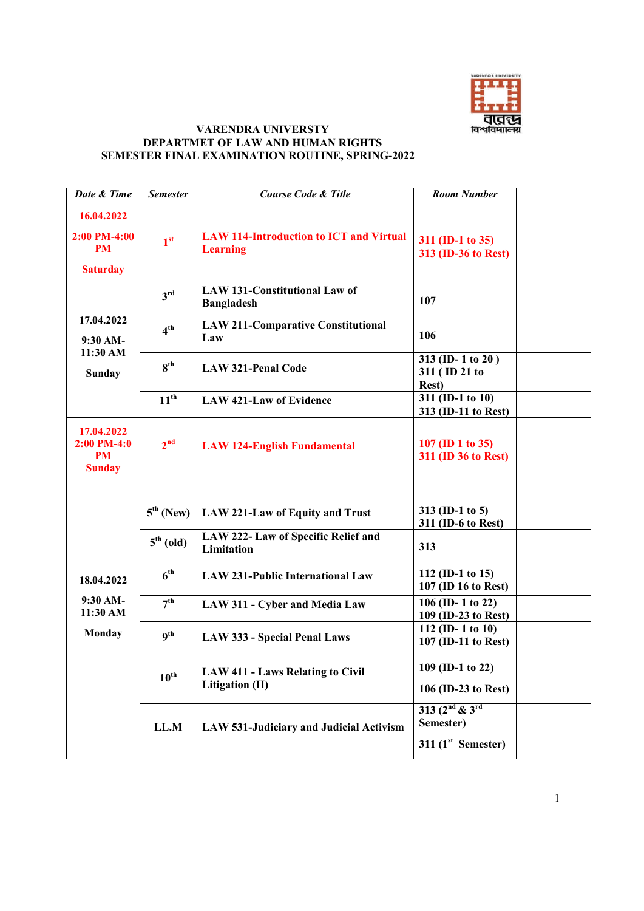

## **VARENDRA UNIVERSTY DEPARTMET OF LAW AND HUMAN RIGHTS SEMESTER FINAL EXAMINATION ROUTINE, SPRING-2022**

| Date & Time                                               | <b>Semester</b>       | <b>Course Code &amp; Title</b>                                    | <b>Room Number</b>                                     |
|-----------------------------------------------------------|-----------------------|-------------------------------------------------------------------|--------------------------------------------------------|
| 16.04.2022<br>2:00 PM-4:00<br>PM<br><b>Saturday</b>       | 1 <sup>st</sup>       | <b>LAW 114-Introduction to ICT and Virtual</b><br><b>Learning</b> | 311 (ID-1 to 35)<br>313 (ID-36 to Rest)                |
| 17.04.2022<br>9:30 AM-<br>11:30 AM<br><b>Sunday</b>       | 3 <sup>rd</sup>       | <b>LAW 131-Constitutional Law of</b><br><b>Bangladesh</b>         | 107                                                    |
|                                                           | 4 <sup>th</sup>       | <b>LAW 211-Comparative Constitutional</b><br>Law                  | 106                                                    |
|                                                           | 8 <sup>th</sup>       | <b>LAW 321-Penal Code</b>                                         | 313 (ID-1 to 20)<br>311 (ID 21 to<br><b>Rest</b> )     |
|                                                           | $11^{th}$             | <b>LAW 421-Law of Evidence</b>                                    | 311 (ID-1 to 10)<br>313 (ID-11 to Rest)                |
| 17.04.2022<br>$2:00$ PM-4:0<br><b>PM</b><br><b>Sunday</b> | 2 <sup>nd</sup>       | <b>LAW 124-English Fundamental</b>                                | 107 (ID 1 to 35)<br>311 (ID 36 to Rest)                |
| 18.04.2022<br>9:30 AM-<br>11:30 AM<br>Monday              | $5^{\text{th}}$ (New) | LAW 221-Law of Equity and Trust                                   | 313 (ID-1 to 5)<br>311 (ID-6 to Rest)                  |
|                                                           | $5th$ (old)           | LAW 222- Law of Specific Relief and<br>Limitation                 | 313                                                    |
|                                                           | 6 <sup>th</sup>       | <b>LAW 231-Public International Law</b>                           | 112 (ID-1 to 15)<br>107 (ID 16 to Rest)                |
|                                                           | 7 <sup>th</sup>       | LAW 311 - Cyber and Media Law                                     | 106 (ID-1 to 22)<br>109 (ID-23 to Rest)                |
|                                                           | $q^{th}$              | <b>LAW 333 - Special Penal Laws</b>                               | 112 (ID-1 to 10)<br>107 (ID-11 to Rest)                |
|                                                           | $10^{\text{th}}$      | <b>LAW 411 - Laws Relating to Civil</b><br>Litigation (II)        | $109$ (ID-1 to 22)<br>106 (ID-23 to Rest)              |
|                                                           | LL.M                  | LAW 531-Judiciary and Judicial Activism                           | $313 (2nd \& 3rd$<br>Semester)<br>311 $(1st$ Semester) |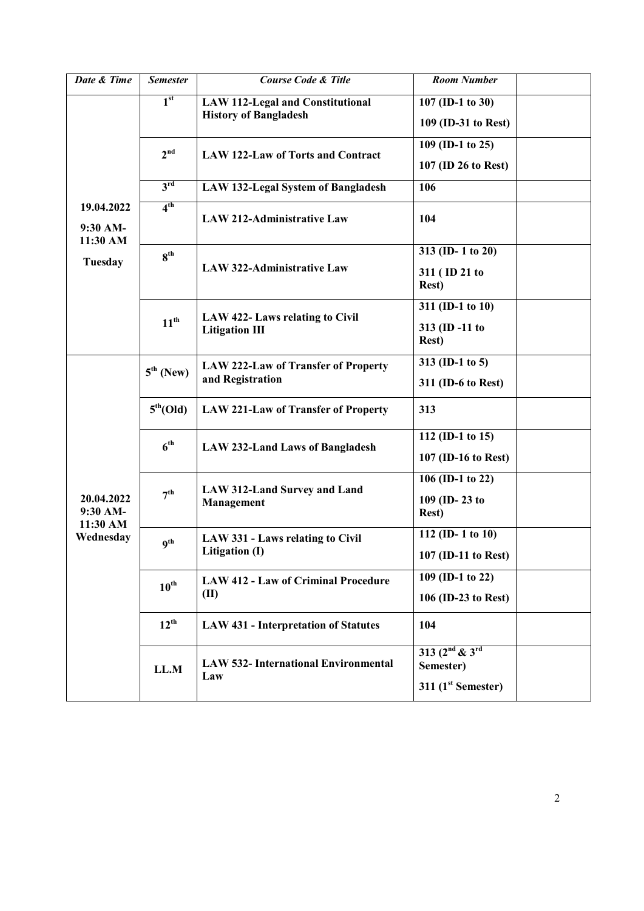| Date & Time                                          | <b>Semester</b>       | <b>Course Code &amp; Title</b>                                          | <b>Room Number</b>                                       |
|------------------------------------------------------|-----------------------|-------------------------------------------------------------------------|----------------------------------------------------------|
| 19.04.2022<br>9:30 AM-<br>11:30 AM<br><b>Tuesday</b> | 1 <sup>st</sup>       | <b>LAW 112-Legal and Constitutional</b><br><b>History of Bangladesh</b> | 107 (ID-1 to 30)<br>109 (ID-31 to Rest)                  |
|                                                      | 2 <sup>nd</sup>       | LAW 122-Law of Torts and Contract                                       | 109 (ID-1 to 25)<br>107 (ID 26 to Rest)                  |
|                                                      | 3 <sup>rd</sup>       | <b>LAW 132-Legal System of Bangladesh</b>                               | 106                                                      |
|                                                      | 4 <sup>th</sup>       | <b>LAW 212-Administrative Law</b>                                       | 104                                                      |
|                                                      | 8 <sup>th</sup>       | <b>LAW 322-Administrative Law</b>                                       | 313 (ID-1 to 20)<br>311 (ID 21 to<br><b>Rest</b> )       |
|                                                      | $11^{th}$             | LAW 422- Laws relating to Civil<br><b>Litigation III</b>                | 311 (ID-1 to 10)<br>313 (ID-11 to<br><b>Rest</b> )       |
| 20.04.2022<br>9:30 AM-<br>11:30 AM<br>Wednesday      | $5th$ (New)           | <b>LAW 222-Law of Transfer of Property</b><br>and Registration          | 313 (ID-1 to 5)<br>311 (ID-6 to Rest)                    |
|                                                      | 5 <sup>th</sup> (Old) | <b>LAW 221-Law of Transfer of Property</b>                              | 313                                                      |
|                                                      | 6 <sup>th</sup>       | <b>LAW 232-Land Laws of Bangladesh</b>                                  | 112 (ID-1 to 15)<br>107 (ID-16 to Rest)                  |
|                                                      | 7 <sup>th</sup>       | <b>LAW 312-Land Survey and Land</b><br>Management                       | 106 (ID-1 to 22)<br>109 (ID-23 to<br><b>Rest</b> )       |
|                                                      | q <sup>th</sup>       | LAW 331 - Laws relating to Civil<br>Litigation (I)                      | 112 (ID-1 to 10)<br>107 (ID-11 to Rest)                  |
|                                                      | $10^{\text{th}}$      | <b>LAW 412 - Law of Criminal Procedure</b><br>(II)                      | 109 (ID-1 to 22)<br>106 (ID-23 to Rest)                  |
|                                                      | $12^{th}$             | <b>LAW 431 - Interpretation of Statutes</b>                             | 104                                                      |
|                                                      | LL.M                  | <b>LAW 532- International Environmental</b><br>Law                      | 313 $(2^{nd}$ & 3rd<br>Semester)<br>311 $(1st$ Semester) |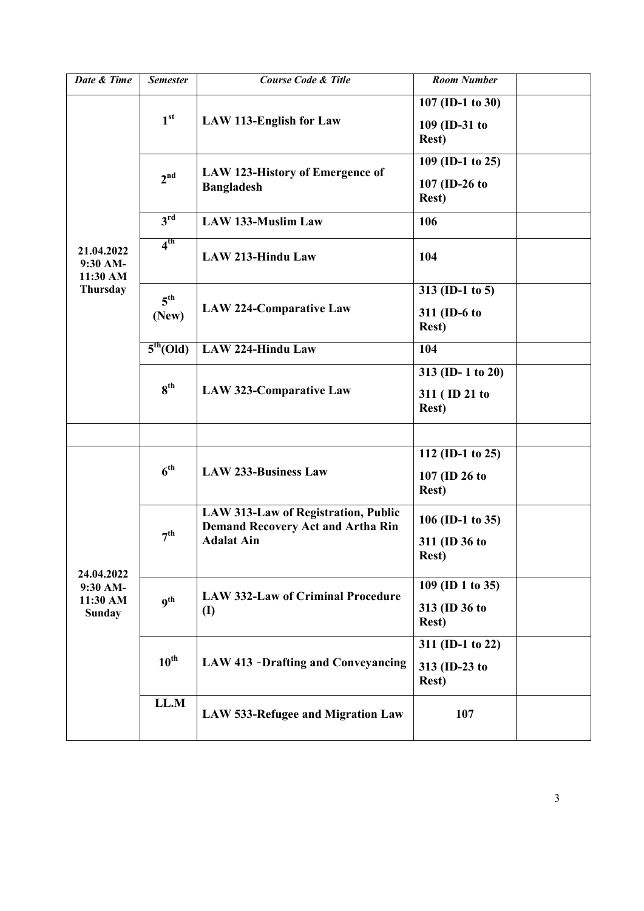| Date & Time          | <b>Semester</b>       | <b>Course Code &amp; Title</b>                                                                              | <b>Room Number</b>             |
|----------------------|-----------------------|-------------------------------------------------------------------------------------------------------------|--------------------------------|
|                      |                       |                                                                                                             |                                |
|                      | 1 <sup>st</sup>       | <b>LAW 113-English for Law</b>                                                                              | 107 (ID-1 to 30)               |
|                      |                       |                                                                                                             | 109 (ID-31 to                  |
|                      |                       |                                                                                                             | <b>Rest</b> )                  |
|                      |                       |                                                                                                             | 109 (ID-1 to 25)               |
|                      | 2 <sup>nd</sup>       | <b>LAW 123-History of Emergence of</b><br><b>Bangladesh</b>                                                 |                                |
|                      |                       |                                                                                                             | 107 (ID-26 to                  |
|                      |                       |                                                                                                             | <b>Rest</b> )                  |
|                      | $3^{\overline{rd}}$   | <b>LAW 133-Muslim Law</b>                                                                                   | 106                            |
|                      | 4 <sup>th</sup>       |                                                                                                             |                                |
| 21.04.2022           |                       | <b>LAW 213-Hindu Law</b>                                                                                    | 104                            |
| 9:30 AM-             |                       |                                                                                                             |                                |
| 11:30 AM<br>Thursday |                       |                                                                                                             | 313 (ID-1 to 5)                |
|                      | $5^{\text{th}}$       |                                                                                                             |                                |
|                      | (New)                 | <b>LAW 224-Comparative Law</b>                                                                              | 311 (ID-6 to                   |
|                      |                       |                                                                                                             | <b>Rest</b> )                  |
|                      | 5 <sup>th</sup> (Old) | <b>LAW 224-Hindu Law</b>                                                                                    | 104                            |
|                      |                       |                                                                                                             | 313 (ID-1 to 20)               |
|                      | $8^{\text{th}}$       | <b>LAW 323-Comparative Law</b>                                                                              |                                |
|                      |                       |                                                                                                             | 311 (ID 21 to<br><b>Rest</b> ) |
|                      |                       |                                                                                                             |                                |
|                      |                       |                                                                                                             |                                |
|                      | 6 <sup>th</sup>       | <b>LAW 233-Business Law</b>                                                                                 | 112 (ID-1 to 25)               |
|                      |                       |                                                                                                             | 107 (ID 26 to                  |
|                      |                       |                                                                                                             | <b>Rest</b> )                  |
|                      |                       |                                                                                                             |                                |
|                      | 7 <sup>th</sup>       | <b>LAW 313-Law of Registration, Public</b><br><b>Demand Recovery Act and Artha Rin</b><br><b>Adalat Ain</b> | 106 (ID-1 to 35)               |
|                      |                       |                                                                                                             |                                |
|                      |                       |                                                                                                             | 311 (ID 36 to<br><b>Rest</b> ) |
| 24.04.2022           |                       |                                                                                                             |                                |
| 9:30 AM-             | q <sup>th</sup>       | <b>LAW 332-Law of Criminal Procedure</b><br>$\textbf{(I)}$                                                  | 109 (ID 1 to 35)               |
| 11:30 AM             |                       |                                                                                                             | 313 (ID 36 to                  |
| <b>Sunday</b>        |                       |                                                                                                             | <b>Rest</b> )                  |
|                      |                       |                                                                                                             |                                |
|                      | $10^{\text{th}}$      | <b>LAW 413 -Drafting and Conveyancing</b>                                                                   | 311 (ID-1 to 22)               |
|                      |                       |                                                                                                             | 313 (ID-23 to                  |
|                      |                       |                                                                                                             | <b>Rest</b> )                  |
|                      | LL.M                  |                                                                                                             |                                |
|                      |                       | LAW 533-Refugee and Migration Law                                                                           | 107                            |
|                      |                       |                                                                                                             |                                |